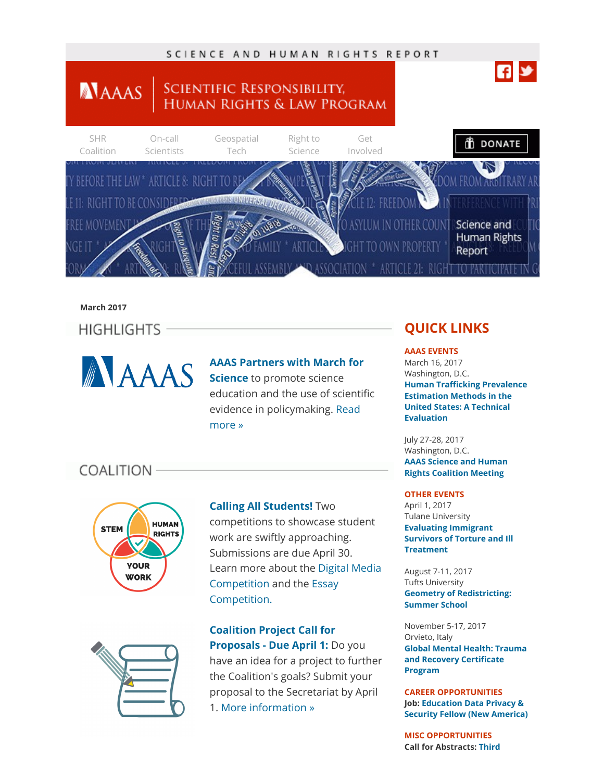#### SCIENCE AND HUMAN RIGHTS REPORT nly Scientific Responsibility,<br>Human Rights & Law Program **NAAAS** SHR On-call [Geospatial](http://www.aaas.org/program/geospatial-technologies-project?utm_campaign=email-shrr-geotech) Right to Get **OD** DONATE [Coalition](http://www.aaas.org/program/science-human-rights-coalition?utm_campaign=email-shrr-coalition) [Scientists](http://www.aaas.org/oncallscientists?utm_campaign=email-shrr-ocs) Tech [Science](http://www.aaas.org/page/science-human-right-article-15?utm_campaign=email-shrr-rts) [Involved](http://www.aaas.org/page/srhrl-get-involved?utm_campaign=email-shrr-getinvolved) BEFORE THE LAW\* ARTICLE 8 E 11: RIGHT TO BE CONSID FRFF MOVFMFNT Science and ē Human Rights nge it Š Report

### March 2017

**HIGHLIGHTS** 



## AAAS [Partners](http://www.aaas.org/news/aaas-and-march-science-partner-uphold-science) with March for

**Science** to promote science education and the use of scientific evidence in [policymaking.](http://www.aaas.org/news/aaas-and-march-science-partner-uphold-science) Read more »

# COALITION



## Calling All [Students!](https://www.marchforscience.com/press) Two

competitions to showcase student work are swiftly approaching. Submissions are due April 30. Learn more about the Digital Media [Competition](https://www.aaas.org/shr2017digital) and the Essay [Competition.](https://www.aaas.org/shr2017essay)



## Coalition Project Call for [Proposals](https://www.aaas.org/page/call-proposals-aaas-science-and-human-rights-coalition-projects) - Due April 1: Do you have an idea for a project to further the Coalition's goals? Submit your proposal to the Secretariat by April

1. More [information](https://www.aaas.org/page/call-proposals-aaas-science-and-human-rights-coalition-projects) »

# QUICK LINKS

### AAAS EVENTS

March 16, 2017 Washington, D.C. **Human Trafficking [Prevalence](https://www.aaas.org/event/human-trafficking-prevalence-estimation-methods-united-states-technical-evaluation)** Estimation Methods in the United States: A Technical Evaluation

July 27-28, 2017 Washington, D.C. AAAS Science and Human Rights Coalition Meeting

### OTHER EVENTS

April 1, 2017 Tulane University Evaluating [Immigrant](http://phr.convio.net/site/Calendar?id=100562&view=Detail) Survivors of Torture and Ill **Treatment** 

August 7-11, 2017 Tufts University Geometry of [Redistricting:](https://sites.tufts.edu/gerrymandr/) Summer School

November 5-17, 2017 Orvieto, Italy Global Mental Health: Trauma and Recovery Certificate Program

CAREER OPPORTUNITIES Job: [Education](http://newamerica.applytojob.com/apply/0xBoFA/Education-Data-Privacy-Security-Fellow) Data Privacy & Security Fellow (New America)

MISC OPPORTUNITIES Call for [Abstracts:](http://www.thefacultylounge.org/2017/02/cfp-third-business-and-human-rights-scholars-conference.html) Third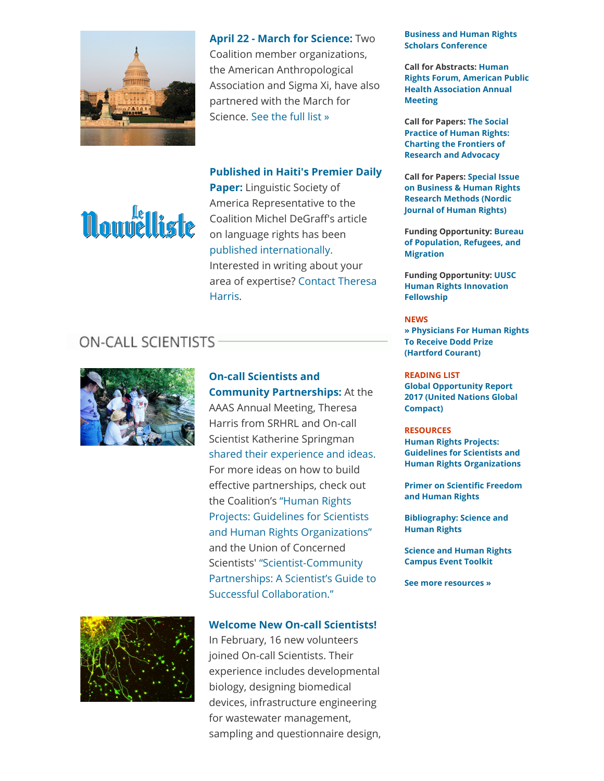

**Nouvelliste** 

April 22 - March for [Science:](https://www.marchforscience.com/press) Two

Coalition member organizations, the American Anthropological Association and Sigma Xi, have also partnered with the March for Science. [See](https://www.marchforscience.com/press) the full list »

## [Published](https://www.opendemocracy.net/openglobalrights/michel-degraff/haiti-s-linguistic-apartheid-violates-children-s-rights-and-hampers-) in Haiti's Premier Daily

Paper: Linguistic Society of America Representative to the Coalition Michel DeGra᧐'s article on language rights has been published [internationally.](http://lenouvelliste.com/article/168025/Diskriminasyon%20kont%20krey%C3%B2l%20ann%20Ayiti%20se%20yon%20mepri%20pou%20dwa%20timoun%20epi%20sa%20frennen%20devlopman%20peyi%20a) Interested in writing about your area of [expertise?](mailto:tharris@aaas.org) Contact Theresa Harris.

# **ON-CALL SCIENTISTS**



## On-call Scientists and Community [Partnerships:](https://aaas.confex.com/aaas/2017/webprogram/Session15453.html) At the

AAAS Annual Meeting, Theresa Harris from SRHRL and On-call Scientist Katherine Springman shared their [experience](https://aaas.confex.com/aaas/2017/webprogram/Session15453.html) and ideas. For more ideas on how to build effective partnerships, check out the Coalition's "Human Rights Projects: Guidelines for Scientists and Human Rights [Organizations"](https://www.aaas.org/report/human-rights-projects-guidelines-scientists-and-human-rights-organizations) and the Union of Concerned Scientists' ["Scientist-Community](http://www.ucsusa.org/sites/default/files/attach/2016/04/ucs-scientist-community-partnerships-2016.pdf) Partnerships: A Scientist's Guide to Successful Collaboration."



## Welcome New On-call [Scientists!](http://oncallscientists.aaas.org/)

In February, 16 new volunteers joined On-call Scientists. Their experience includes developmental biology, designing biomedical devices, infrastructure engineering for wastewater management, sampling and questionnaire design,

#### Business and Human Rights Scholars [Conference](http://www.thefacultylounge.org/2017/02/cfp-third-business-and-human-rights-scholars-conference.html)

Call for Abstracts: Human Rights Forum, American Public Health [Association](https://apha.confex.com/apha/2017/ihrc.htm) Annual Meeting

Call for Papers: The Social Practice of Human Rights: Charting the Frontiers of Research and [Advocacy](http://ecommons.udayton.edu/human_rights/2017/)

Call for Papers: Special Issue on Business & Human Rights [Research](https://igbusinessandhumanrights.files.wordpress.com/2017/01/special-issue-cfp-business-and-hr-research-methods.pdf) Methods (Nordic Journal of Human Rights)

Funding [Opportunity:](https://www.state.gov/j/prm/funding/fy2017/266911.htm) Bureau of Population, Refugees, and Migration

Funding [Opportunity:](http://www.uusc.org/uusc-human-rights-innovation-fellowship/) UUSC Human Rights Innovation Fellowship

#### **NEWS**

» [Physicians](http://www.courant.com/news/connecticut/hc-dodd-prize-announced-0203-20170202-story.html) For Human Rights To Receive Dodd Prize (Hartford Courant)

#### READING LIST

Global [Opportunity](http://www.chronicle.com/article/Trump-Is-Undermining-Higher/239060) Report 2017 (United Nations Global Compact)

#### **RESOURCES**

Human Rights Projects: Guidelines for Scientists and Human Rights [Organizations](http://www.aaas.org/report/human-rights-projects-guidelines-scientists-and-human-rights-organizations)

**Primer on Scientific Freedom** and Human Rights

[Bibliography:](http://www.aaas.org/page/science-and-human-rights-select-annotated-bibliography) Science and Human Rights

Science and Human Rights [Campus](http://www.aaas.org/program/science-and-human-rights-campus-event-toolkit) Event Toolkit

See more [resources](http://www.aaas.org/page/coalition-tools-and-resources) »